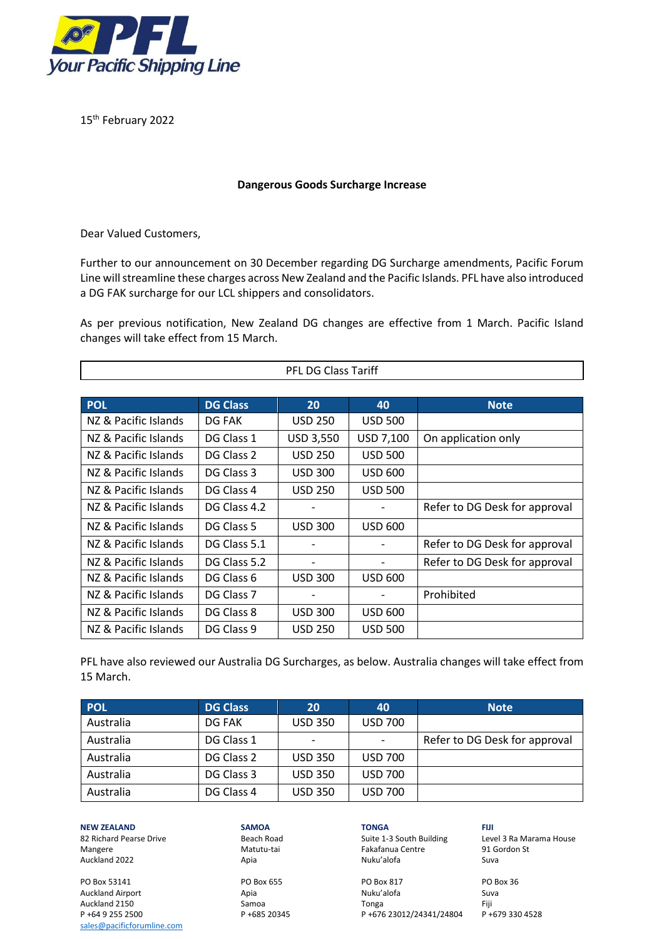

15th February 2022

## **Dangerous Goods Surcharge Increase**

Dear Valued Customers,

Further to our announcement on 30 December regarding DG Surcharge amendments, Pacific Forum Line will streamline these charges across New Zealand and the Pacific Islands. PFL have also introduced a DG FAK surcharge for our LCL shippers and consolidators.

As per previous notification, New Zealand DG changes are effective from 1 March. Pacific Island changes will take effect from 15 March.

| <b>PFL DG Class Tariff</b> |                 |                          |                |                               |  |
|----------------------------|-----------------|--------------------------|----------------|-------------------------------|--|
|                            |                 |                          |                |                               |  |
| <b>POL</b>                 | <b>DG Class</b> | 20                       | 40             | <b>Note</b>                   |  |
| NZ & Pacific Islands       | DG FAK          | <b>USD 250</b>           | <b>USD 500</b> |                               |  |
| NZ & Pacific Islands       | DG Class 1      | USD 3,550                | USD 7,100      | On application only           |  |
| NZ & Pacific Islands       | DG Class 2      | <b>USD 250</b>           | <b>USD 500</b> |                               |  |
| NZ & Pacific Islands       | DG Class 3      | <b>USD 300</b>           | <b>USD 600</b> |                               |  |
| NZ & Pacific Islands       | DG Class 4      | <b>USD 250</b>           | <b>USD 500</b> |                               |  |
| NZ & Pacific Islands       | DG Class 4.2    | $\overline{\phantom{a}}$ |                | Refer to DG Desk for approval |  |
| NZ & Pacific Islands       | DG Class 5      | <b>USD 300</b>           | <b>USD 600</b> |                               |  |
| NZ & Pacific Islands       | DG Class 5.1    |                          |                | Refer to DG Desk for approval |  |
| NZ & Pacific Islands       | DG Class 5.2    | $\overline{\phantom{a}}$ |                | Refer to DG Desk for approval |  |
| NZ & Pacific Islands       | DG Class 6      | <b>USD 300</b>           | <b>USD 600</b> |                               |  |
| NZ & Pacific Islands       | DG Class 7      |                          |                | Prohibited                    |  |
| NZ & Pacific Islands       | DG Class 8      | <b>USD 300</b>           | <b>USD 600</b> |                               |  |
| NZ & Pacific Islands       | DG Class 9      | <b>USD 250</b>           | <b>USD 500</b> |                               |  |

PFL have also reviewed our Australia DG Surcharges, as below. Australia changes will take effect from 15 March.

| <b>POL</b> | <b>DG Class</b> | 20                       | 40             | <b>Note</b>                   |
|------------|-----------------|--------------------------|----------------|-------------------------------|
| Australia  | DG FAK          | <b>USD 350</b>           | <b>USD 700</b> |                               |
| Australia  | DG Class 1      | $\overline{\phantom{a}}$ |                | Refer to DG Desk for approval |
| Australia  | DG Class 2      | <b>USD 350</b>           | <b>USD 700</b> |                               |
| Australia  | DG Class 3      | <b>USD 350</b>           | <b>USD 700</b> |                               |
| Australia  | DG Class 4      | <b>USD 350</b>           | <b>USD 700</b> |                               |

**NEW ZEALAND SAMOA TONGA FIJI** Mangere 1919 (Matutu-tai Fakafanua Centre 1916)<br>Auckland 2022 1919 (Auckland 2022 1919) (Auckland Suva Auckland 2022

Auckland Airport Apia [sales@pacificforumline.com](mailto:sales@pacificforumline.com)

PO Box 53141 PO Box 655 PO Box 817 PO Box 36 Auckland 2150 Samoa Tonga Fiji P +64 9 255 2500 P +685 20345 P +676 23012/24341/24804

82 Richard Pearse Drive **Beach Road** Suite 1-3 South Building Level 3 Ra Marama House<br>
Mangere 1918 Gordon St

٦